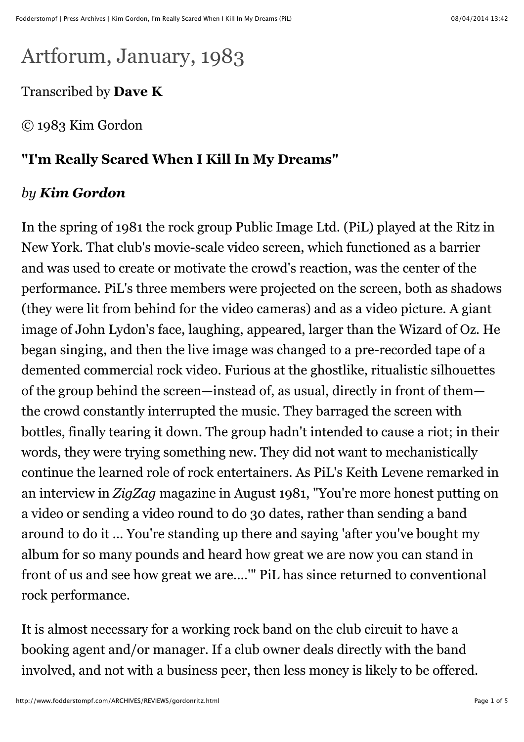## Artforum, January, 1983

Transcribed by **Dave K**

© 1983 Kim Gordon

## **"I'm Really Scared When I Kill In My Dreams"**

## *by Kim Gordon*

In the spring of 1981 the rock group Public Image Ltd. (PiL) played at the Ritz in New York. That club's movie-scale video screen, which functioned as a barrier and was used to create or motivate the crowd's reaction, was the center of the performance. PiL's three members were projected on the screen, both as shadows (they were lit from behind for the video cameras) and as a video picture. A giant image of John Lydon's face, laughing, appeared, larger than the Wizard of Oz. He began singing, and then the live image was changed to a pre-recorded tape of a demented commercial rock video. Furious at the ghostlike, ritualistic silhouettes of the group behind the screen—instead of, as usual, directly in front of them the crowd constantly interrupted the music. They barraged the screen with bottles, finally tearing it down. The group hadn't intended to cause a riot; in their words, they were trying something new. They did not want to mechanistically continue the learned role of rock entertainers. As PiL's Keith Levene remarked in an interview in *ZigZag* magazine in August 1981, "You're more honest putting on a video or sending a video round to do 30 dates, rather than sending a band around to do it ... You're standing up there and saying 'after you've bought my album for so many pounds and heard how great we are now you can stand in front of us and see how great we are....'" PiL has since returned to conventional rock performance.

It is almost necessary for a working rock band on the club circuit to have a booking agent and/or manager. If a club owner deals directly with the band involved, and not with a business peer, then less money is likely to be offered.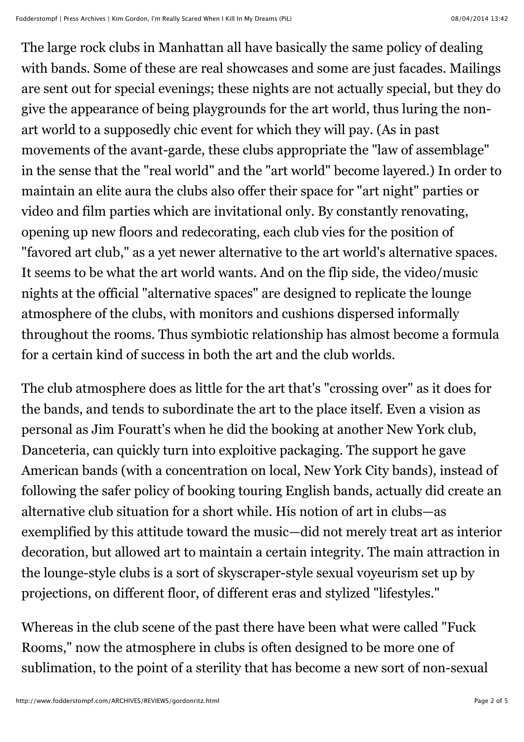The large rock clubs in Manhattan all have basically the same policy of dealing with bands. Some of these are real showcases and some are just facades. Mailings are sent out for special evenings; these nights are not actually special, but they do give the appearance of being playgrounds for the art world, thus luring the nonart world to a supposedly chic event for which they will pay. (As in past movements of the avant-garde, these clubs appropriate the "law of assemblage" in the sense that the "real world" and the "art world" become layered.) In order to maintain an elite aura the clubs also offer their space for "art night" parties or video and film parties which are invitational only. By constantly renovating, opening up new floors and redecorating, each club vies for the position of "favored art club," as a yet newer alternative to the art world's alternative spaces. It seems to be what the art world wants. And on the flip side, the video/music nights at the official "alternative spaces" are designed to replicate the lounge atmosphere of the clubs, with monitors and cushions dispersed informally throughout the rooms. Thus symbiotic relationship has almost become a formula for a certain kind of success in both the art and the club worlds.

The club atmosphere does as little for the art that's "crossing over" as it does for the bands, and tends to subordinate the art to the place itself. Even a vision as personal as Jim Fouratt's when he did the booking at another New York club, Danceteria, can quickly turn into exploitive packaging. The support he gave American bands (with a concentration on local, New York City bands), instead of following the safer policy of booking touring English bands, actually did create an alternative club situation for a short while. His notion of art in clubs—as exemplified by this attitude toward the music—did not merely treat art as interior decoration, but allowed art to maintain a certain integrity. The main attraction in the lounge-style clubs is a sort of skyscraper-style sexual voyeurism set up by projections, on different floor, of different eras and stylized "lifestyles."

Whereas in the club scene of the past there have been what were called "Fuck Rooms," now the atmosphere in clubs is often designed to be more one of sublimation, to the point of a sterility that has become a new sort of non-sexual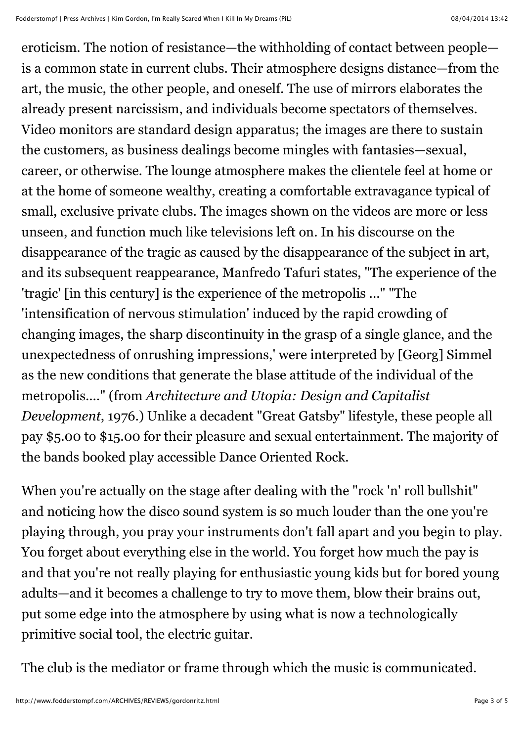eroticism. The notion of resistance—the withholding of contact between people is a common state in current clubs. Their atmosphere designs distance—from the art, the music, the other people, and oneself. The use of mirrors elaborates the already present narcissism, and individuals become spectators of themselves. Video monitors are standard design apparatus; the images are there to sustain the customers, as business dealings become mingles with fantasies—sexual, career, or otherwise. The lounge atmosphere makes the clientele feel at home or at the home of someone wealthy, creating a comfortable extravagance typical of small, exclusive private clubs. The images shown on the videos are more or less unseen, and function much like televisions left on. In his discourse on the disappearance of the tragic as caused by the disappearance of the subject in art, and its subsequent reappearance, Manfredo Tafuri states, "The experience of the 'tragic' [in this century] is the experience of the metropolis ..." "The 'intensification of nervous stimulation' induced by the rapid crowding of changing images, the sharp discontinuity in the grasp of a single glance, and the unexpectedness of onrushing impressions,' were interpreted by [Georg] Simmel as the new conditions that generate the blase attitude of the individual of the metropolis...." (from *Architecture and Utopia: Design and Capitalist Development*, 1976.) Unlike a decadent "Great Gatsby" lifestyle, these people all pay \$5.00 to \$15.00 for their pleasure and sexual entertainment. The majority of the bands booked play accessible Dance Oriented Rock.

When you're actually on the stage after dealing with the "rock 'n' roll bullshit" and noticing how the disco sound system is so much louder than the one you're playing through, you pray your instruments don't fall apart and you begin to play. You forget about everything else in the world. You forget how much the pay is and that you're not really playing for enthusiastic young kids but for bored young adults—and it becomes a challenge to try to move them, blow their brains out, put some edge into the atmosphere by using what is now a technologically primitive social tool, the electric guitar.

The club is the mediator or frame through which the music is communicated.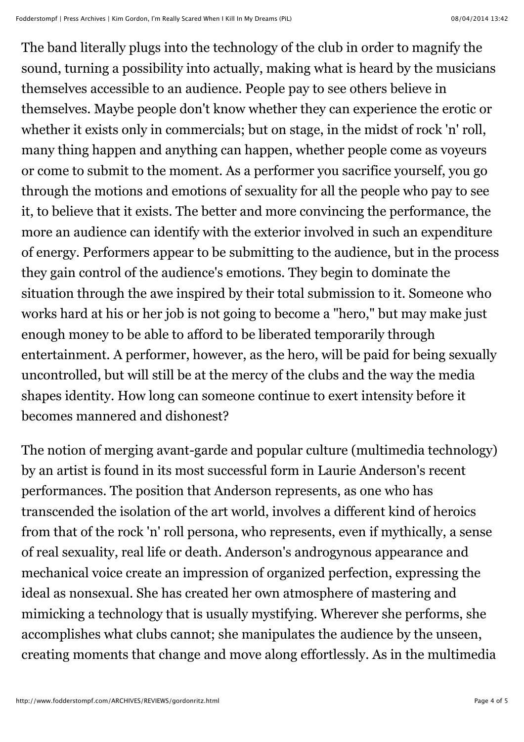The band literally plugs into the technology of the club in order to magnify the sound, turning a possibility into actually, making what is heard by the musicians themselves accessible to an audience. People pay to see others believe in themselves. Maybe people don't know whether they can experience the erotic or whether it exists only in commercials; but on stage, in the midst of rock 'n' roll, many thing happen and anything can happen, whether people come as voyeurs or come to submit to the moment. As a performer you sacrifice yourself, you go through the motions and emotions of sexuality for all the people who pay to see it, to believe that it exists. The better and more convincing the performance, the more an audience can identify with the exterior involved in such an expenditure of energy. Performers appear to be submitting to the audience, but in the process they gain control of the audience's emotions. They begin to dominate the situation through the awe inspired by their total submission to it. Someone who works hard at his or her job is not going to become a "hero," but may make just enough money to be able to afford to be liberated temporarily through entertainment. A performer, however, as the hero, will be paid for being sexually uncontrolled, but will still be at the mercy of the clubs and the way the media shapes identity. How long can someone continue to exert intensity before it becomes mannered and dishonest?

The notion of merging avant-garde and popular culture (multimedia technology) by an artist is found in its most successful form in Laurie Anderson's recent performances. The position that Anderson represents, as one who has transcended the isolation of the art world, involves a different kind of heroics from that of the rock 'n' roll persona, who represents, even if mythically, a sense of real sexuality, real life or death. Anderson's androgynous appearance and mechanical voice create an impression of organized perfection, expressing the ideal as nonsexual. She has created her own atmosphere of mastering and mimicking a technology that is usually mystifying. Wherever she performs, she accomplishes what clubs cannot; she manipulates the audience by the unseen, creating moments that change and move along effortlessly. As in the multimedia